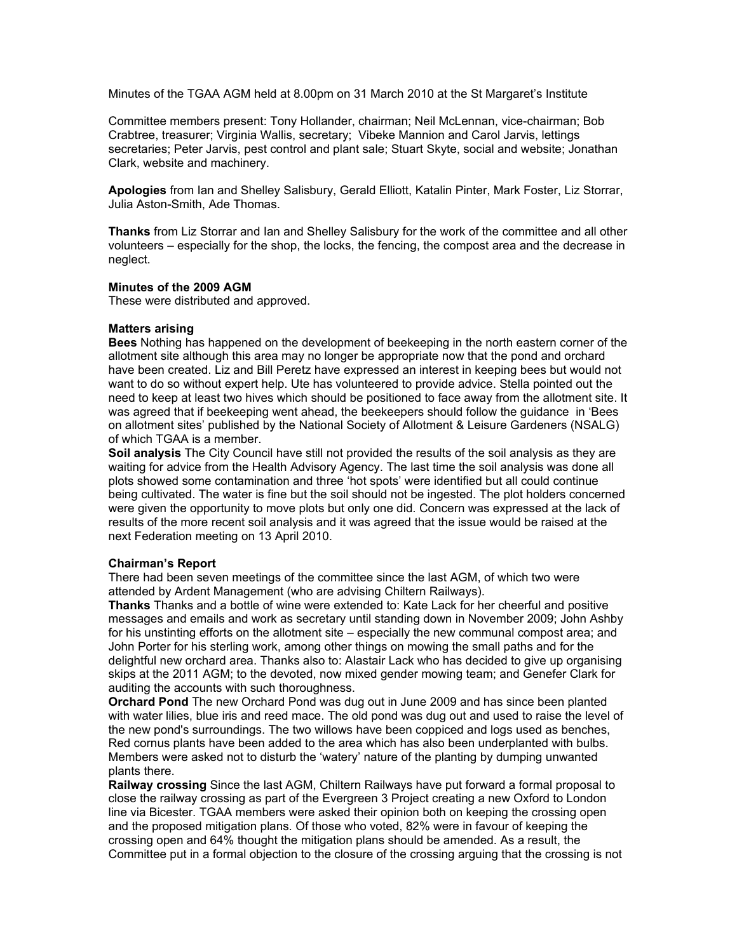Minutes of the TGAA AGM held at 8.00pm on 31 March 2010 at the St Margaret's Institute

Committee members present: Tony Hollander, chairman; Neil McLennan, vice-chairman; Bob Crabtree, treasurer; Virginia Wallis, secretary; Vibeke Mannion and Carol Jarvis, lettings secretaries; Peter Jarvis, pest control and plant sale; Stuart Skyte, social and website; Jonathan Clark, website and machinery.

**Apologies** from Ian and Shelley Salisbury, Gerald Elliott, Katalin Pinter, Mark Foster, Liz Storrar, Julia Aston-Smith, Ade Thomas.

**Thanks** from Liz Storrar and Ian and Shelley Salisbury for the work of the committee and all other volunteers – especially for the shop, the locks, the fencing, the compost area and the decrease in neglect.

# **Minutes of the 2009 AGM**

These were distributed and approved.

# **Matters arising**

**Bees** Nothing has happened on the development of beekeeping in the north eastern corner of the allotment site although this area may no longer be appropriate now that the pond and orchard have been created. Liz and Bill Peretz have expressed an interest in keeping bees but would not want to do so without expert help. Ute has volunteered to provide advice. Stella pointed out the need to keep at least two hives which should be positioned to face away from the allotment site. It was agreed that if beekeeping went ahead, the beekeepers should follow the guidance in 'Bees on allotment sites' published by the National Society of Allotment & Leisure Gardeners (NSALG) of which TGAA is a member.

**Soil analysis** The City Council have still not provided the results of the soil analysis as they are waiting for advice from the Health Advisory Agency. The last time the soil analysis was done all plots showed some contamination and three 'hot spots' were identified but all could continue being cultivated. The water is fine but the soil should not be ingested. The plot holders concerned were given the opportunity to move plots but only one did. Concern was expressed at the lack of results of the more recent soil analysis and it was agreed that the issue would be raised at the next Federation meeting on 13 April 2010.

# **Chairman's Report**

There had been seven meetings of the committee since the last AGM, of which two were attended by Ardent Management (who are advising Chiltern Railways).

**Thanks** Thanks and a bottle of wine were extended to: Kate Lack for her cheerful and positive messages and emails and work as secretary until standing down in November 2009; John Ashby for his unstinting efforts on the allotment site – especially the new communal compost area; and John Porter for his sterling work, among other things on mowing the small paths and for the delightful new orchard area. Thanks also to: Alastair Lack who has decided to give up organising skips at the 2011 AGM; to the devoted, now mixed gender mowing team; and Genefer Clark for auditing the accounts with such thoroughness.

**Orchard Pond** The new Orchard Pond was dug out in June 2009 and has since been planted with water lilies, blue iris and reed mace. The old pond was dug out and used to raise the level of the new pond's surroundings. The two willows have been coppiced and logs used as benches, Red cornus plants have been added to the area which has also been underplanted with bulbs. Members were asked not to disturb the 'watery' nature of the planting by dumping unwanted plants there.

**Railway crossing** Since the last AGM, Chiltern Railways have put forward a formal proposal to close the railway crossing as part of the Evergreen 3 Project creating a new Oxford to London line via Bicester. TGAA members were asked their opinion both on keeping the crossing open and the proposed mitigation plans. Of those who voted, 82% were in favour of keeping the crossing open and 64% thought the mitigation plans should be amended. As a result, the Committee put in a formal objection to the closure of the crossing arguing that the crossing is not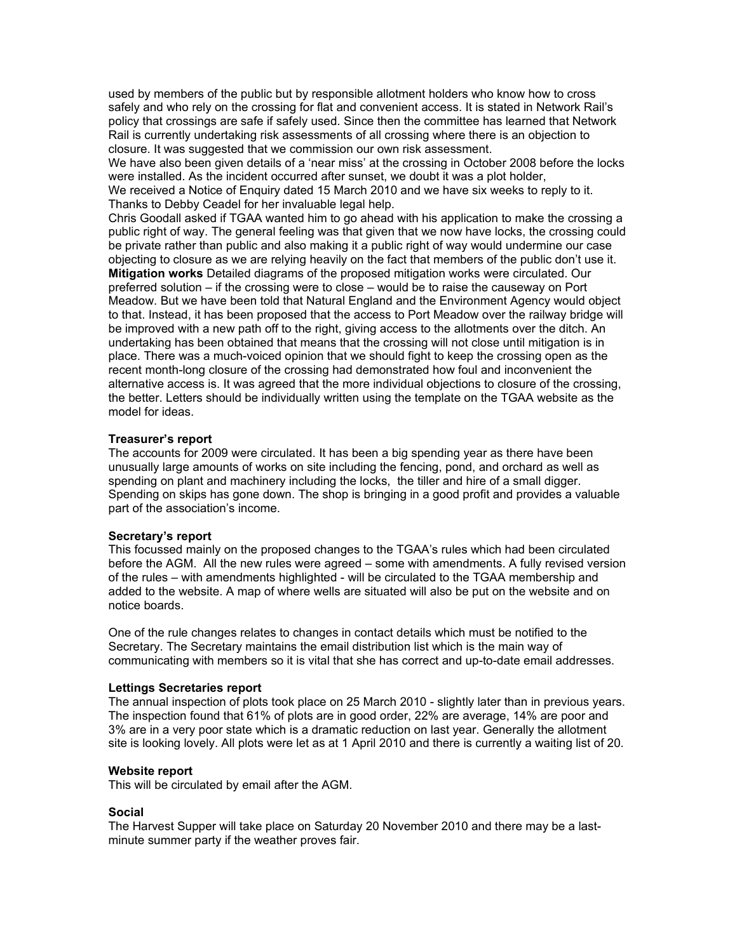used by members of the public but by responsible allotment holders who know how to cross safely and who rely on the crossing for flat and convenient access. It is stated in Network Rail's policy that crossings are safe if safely used. Since then the committee has learned that Network Rail is currently undertaking risk assessments of all crossing where there is an objection to closure. It was suggested that we commission our own risk assessment.

We have also been given details of a 'near miss' at the crossing in October 2008 before the locks were installed. As the incident occurred after sunset, we doubt it was a plot holder, We received a Notice of Enquiry dated 15 March 2010 and we have six weeks to reply to it. Thanks to Debby Ceadel for her invaluable legal help.

Chris Goodall asked if TGAA wanted him to go ahead with his application to make the crossing a public right of way. The general feeling was that given that we now have locks, the crossing could be private rather than public and also making it a public right of way would undermine our case objecting to closure as we are relying heavily on the fact that members of the public don't use it. **Mitigation works** Detailed diagrams of the proposed mitigation works were circulated. Our preferred solution – if the crossing were to close – would be to raise the causeway on Port Meadow. But we have been told that Natural England and the Environment Agency would object to that. Instead, it has been proposed that the access to Port Meadow over the railway bridge will be improved with a new path off to the right, giving access to the allotments over the ditch. An undertaking has been obtained that means that the crossing will not close until mitigation is in place. There was a much-voiced opinion that we should fight to keep the crossing open as the recent month-long closure of the crossing had demonstrated how foul and inconvenient the alternative access is. It was agreed that the more individual objections to closure of the crossing, the better. Letters should be individually written using the template on the TGAA website as the model for ideas.

#### **Treasurer's report**

The accounts for 2009 were circulated. It has been a big spending year as there have been unusually large amounts of works on site including the fencing, pond, and orchard as well as spending on plant and machinery including the locks, the tiller and hire of a small digger. Spending on skips has gone down. The shop is bringing in a good profit and provides a valuable part of the association's income.

## **Secretary's report**

This focussed mainly on the proposed changes to the TGAA's rules which had been circulated before the AGM. All the new rules were agreed – some with amendments. A fully revised version of the rules – with amendments highlighted - will be circulated to the TGAA membership and added to the website. A map of where wells are situated will also be put on the website and on notice boards.

One of the rule changes relates to changes in contact details which must be notified to the Secretary. The Secretary maintains the email distribution list which is the main way of communicating with members so it is vital that she has correct and up-to-date email addresses.

#### **Lettings Secretaries report**

The annual inspection of plots took place on 25 March 2010 - slightly later than in previous years. The inspection found that 61% of plots are in good order, 22% are average, 14% are poor and 3% are in a very poor state which is a dramatic reduction on last year. Generally the allotment site is looking lovely. All plots were let as at 1 April 2010 and there is currently a waiting list of 20.

#### **Website report**

This will be circulated by email after the AGM.

## **Social**

The Harvest Supper will take place on Saturday 20 November 2010 and there may be a lastminute summer party if the weather proves fair.